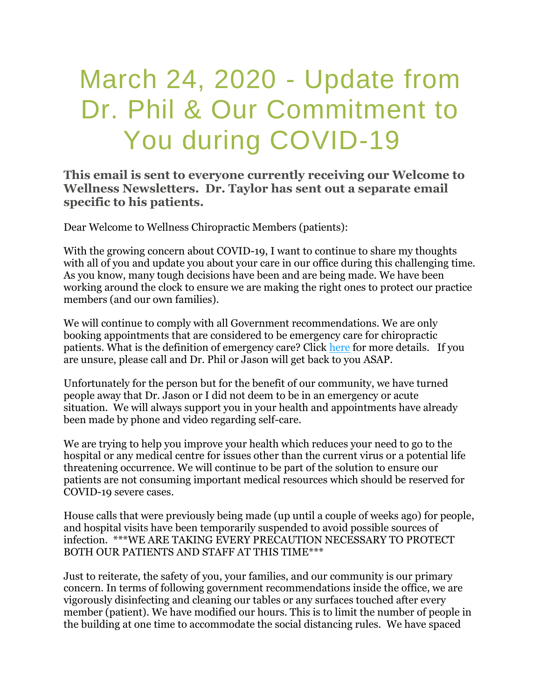## March 24, 2020 - Update from Dr. Phil & Our Commitment to You during COVID-19

**This email is sent to everyone currently receiving our Welcome to Wellness Newsletters. Dr. Taylor has sent out a separate email specific to his patients.**

Dear Welcome to Wellness Chiropractic Members (patients):

With the growing concern about COVID-19, I want to continue to share my thoughts with all of you and update you about your care in our office during this challenging time. As you know, many tough decisions have been and are being made. We have been working around the clock to ensure we are making the right ones to protect our practice members (and our own families).

We will continue to comply with all Government recommendations. We are only booking appointments that are considered to be emergency care for chiropractic patients. What is the definition of emergency care? Click [here](https://www.cco.on.ca/2020/03/16/presidents-message-covid-19-march-16-2020/) for more details. If you are unsure, please call and Dr. Phil or Jason will get back to you ASAP.

Unfortunately for the person but for the benefit of our community, we have turned people away that Dr. Jason or I did not deem to be in an emergency or acute situation. We will always support you in your health and appointments have already been made by phone and video regarding self-care.

We are trying to help you improve your health which reduces your need to go to the hospital or any medical centre for issues other than the current virus or a potential life threatening occurrence. We will continue to be part of the solution to ensure our patients are not consuming important medical resources which should be reserved for COVID-19 severe cases.

House calls that were previously being made (up until a couple of weeks ago) for people, and hospital visits have been temporarily suspended to avoid possible sources of infection. \*\*\*WE ARE TAKING EVERY PRECAUTION NECESSARY TO PROTECT BOTH OUR PATIENTS AND STAFF AT THIS TIME\*\*\*

Just to reiterate, the safety of you, your families, and our community is our primary concern. In terms of following government recommendations inside the office, we are vigorously disinfecting and cleaning our tables or any surfaces touched after every member (patient). We have modified our hours. This is to limit the number of people in the building at one time to accommodate the social distancing rules. We have spaced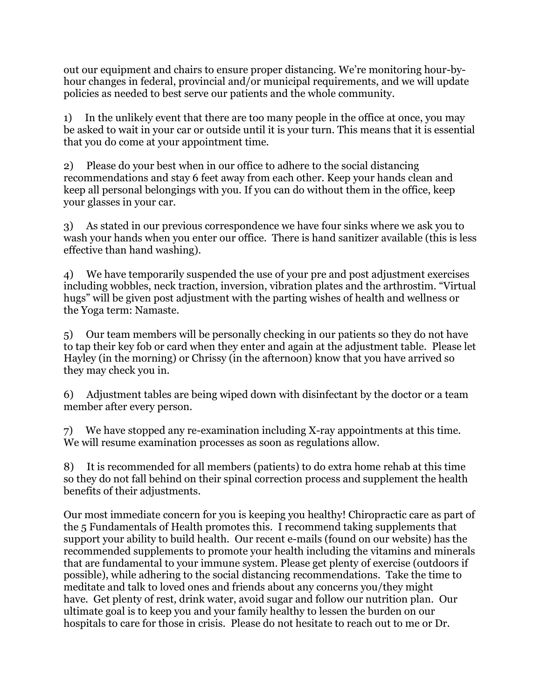out our equipment and chairs to ensure proper distancing. We're monitoring hour-byhour changes in federal, provincial and/or municipal requirements, and we will update policies as needed to best serve our patients and the whole community.

1) In the unlikely event that there are too many people in the office at once, you may be asked to wait in your car or outside until it is your turn. This means that it is essential that you do come at your appointment time.

2) Please do your best when in our office to adhere to the social distancing recommendations and stay 6 feet away from each other. Keep your hands clean and keep all personal belongings with you. If you can do without them in the office, keep your glasses in your car.

3) As stated in our previous correspondence we have four sinks where we ask you to wash your hands when you enter our office. There is hand sanitizer available (this is less effective than hand washing).

4) We have temporarily suspended the use of your pre and post adjustment exercises including wobbles, neck traction, inversion, vibration plates and the arthrostim. "Virtual hugs" will be given post adjustment with the parting wishes of health and wellness or the Yoga term: Namaste.

5) Our team members will be personally checking in our patients so they do not have to tap their key fob or card when they enter and again at the adjustment table. Please let Hayley (in the morning) or Chrissy (in the afternoon) know that you have arrived so they may check you in.

6) Adjustment tables are being wiped down with disinfectant by the doctor or a team member after every person.

7) We have stopped any re-examination including X-ray appointments at this time. We will resume examination processes as soon as regulations allow.

8) It is recommended for all members (patients) to do extra home rehab at this time so they do not fall behind on their spinal correction process and supplement the health benefits of their adjustments.

Our most immediate concern for you is keeping you healthy! Chiropractic care as part of the 5 Fundamentals of Health promotes this. I recommend taking supplements that support your ability to build health. Our recent e-mails (found on our website) has the recommended supplements to promote your health including the vitamins and minerals that are fundamental to your immune system. Please get plenty of exercise (outdoors if possible), while adhering to the social distancing recommendations. Take the time to meditate and talk to loved ones and friends about any concerns you/they might have. Get plenty of rest, drink water, avoid sugar and follow our nutrition plan. Our ultimate goal is to keep you and your family healthy to lessen the burden on our hospitals to care for those in crisis. Please do not hesitate to reach out to me or Dr.